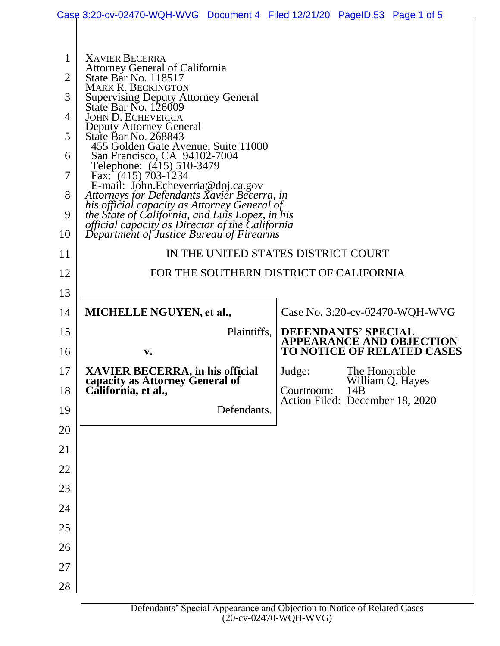|                | Case 3:20-cv-02470-WQH-WVG Document 4 Filed 12/21/20 PageID.53 Page 1 of 5                                                                                                                            |             |                                               |                            |                                   |  |
|----------------|-------------------------------------------------------------------------------------------------------------------------------------------------------------------------------------------------------|-------------|-----------------------------------------------|----------------------------|-----------------------------------|--|
|                |                                                                                                                                                                                                       |             |                                               |                            |                                   |  |
| $\mathbf{1}$   | <b>XAVIER BECERRA</b><br>Attorney General of California                                                                                                                                               |             |                                               |                            |                                   |  |
| 2              | State Bar No. 118517<br><b>MARK R. BECKINGTON</b><br>Supervising Deputy Attorney General<br>State Bar No. 126009                                                                                      |             |                                               |                            |                                   |  |
| 3              |                                                                                                                                                                                                       |             |                                               |                            |                                   |  |
| $\overline{4}$ | <b>JOHN D. ECHEVERRIA</b>                                                                                                                                                                             |             |                                               |                            |                                   |  |
| 5              | Deputy Attorney General<br>State Bar No. 268843                                                                                                                                                       |             |                                               |                            |                                   |  |
| 6              | 455 Golden Gate Avenue, Suite 11000<br>San Francisco, CA 94102-7004                                                                                                                                   |             |                                               |                            |                                   |  |
| 7              | Telephone: (415) 510-3479<br>Fax: $(415)$ 703-1234                                                                                                                                                    |             |                                               |                            |                                   |  |
| 8              | E-mail: John.Echeverria@doj.ca.gov<br>Attorneys for Defendants Xavier Becerra, in                                                                                                                     |             |                                               |                            |                                   |  |
| 9              | his official capacity as Attorney General of<br>the State of California, and Luis Lopez, in his<br><i>official capacity as Director of the California</i><br>Department of Justice Bureau of Firearms |             |                                               |                            |                                   |  |
| 10             |                                                                                                                                                                                                       |             |                                               |                            |                                   |  |
| 11             | IN THE UNITED STATES DISTRICT COURT                                                                                                                                                                   |             |                                               |                            |                                   |  |
| 12             | FOR THE SOUTHERN DISTRICT OF CALIFORNIA                                                                                                                                                               |             |                                               |                            |                                   |  |
| 13             |                                                                                                                                                                                                       |             |                                               |                            |                                   |  |
| 14             | <b>MICHELLE NGUYEN, et al.,</b>                                                                                                                                                                       |             |                                               |                            | Case No. 3:20-cv-02470-WQH-WVG    |  |
| 15             |                                                                                                                                                                                                       | Plaintiffs, |                                               | <b>DEFENDANTS' SPECIAL</b> | <b>APPEARANCE AND OBJECTION</b>   |  |
| 16             | $\mathbf{v}$ .                                                                                                                                                                                        |             |                                               |                            | <b>TO NOTICE OF RELATED CASES</b> |  |
| 17             | XAVIER BECERRA, in his official<br>capacity as Attorney General of                                                                                                                                    |             | Judge:                                        | The Honorable              | William Q. Hayes                  |  |
| 18             | California, et al.,                                                                                                                                                                                   |             | Courtroom:<br>Action Filed: December 18, 2020 | 14B                        |                                   |  |
| 19             |                                                                                                                                                                                                       | Defendants. |                                               |                            |                                   |  |
| 20             |                                                                                                                                                                                                       |             |                                               |                            |                                   |  |
| 21             |                                                                                                                                                                                                       |             |                                               |                            |                                   |  |
| 22             |                                                                                                                                                                                                       |             |                                               |                            |                                   |  |
| 23             |                                                                                                                                                                                                       |             |                                               |                            |                                   |  |
| 24             |                                                                                                                                                                                                       |             |                                               |                            |                                   |  |
| 25             |                                                                                                                                                                                                       |             |                                               |                            |                                   |  |
| 26             |                                                                                                                                                                                                       |             |                                               |                            |                                   |  |
| 27             |                                                                                                                                                                                                       |             |                                               |                            |                                   |  |
| 28             |                                                                                                                                                                                                       |             |                                               |                            |                                   |  |
|                |                                                                                                                                                                                                       |             |                                               |                            |                                   |  |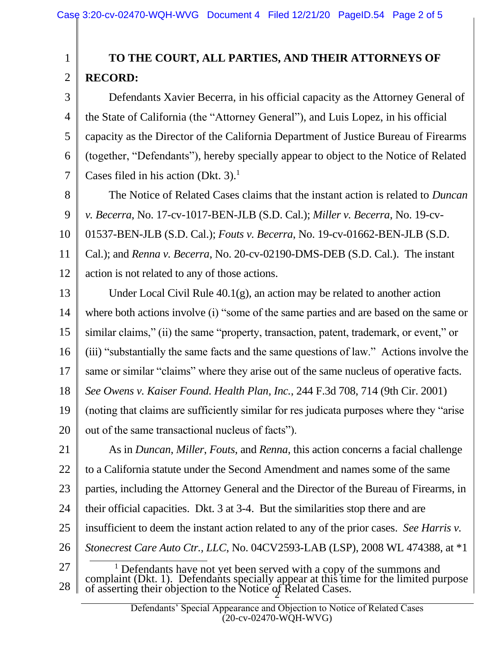1

2

## **TO THE COURT, ALL PARTIES, AND THEIR ATTORNEYS OF RECORD:**

3 4 5 6 7 Defendants Xavier Becerra, in his official capacity as the Attorney General of the State of California (the "Attorney General"), and Luis Lopez, in his official capacity as the Director of the California Department of Justice Bureau of Firearms (together, "Defendants"), hereby specially appear to object to the Notice of Related Cases filed in his action (Dkt.  $3$ ).<sup>1</sup>

8 9 10 11 12 The Notice of Related Cases claims that the instant action is related to *Duncan v. Becerra*, No. 17-cv-1017-BEN-JLB (S.D. Cal.); *Miller v. Becerra*, No. 19-cv-01537-BEN-JLB (S.D. Cal.); *Fouts v. Becerra*, No. 19-cv-01662-BEN-JLB (S.D. Cal.); and *Renna v. Becerra*, No. 20-cv-02190-DMS-DEB (S.D. Cal.). The instant action is not related to any of those actions.

13 14 15 16 17 18 19 20 Under Local Civil Rule 40.1(g), an action may be related to another action where both actions involve (i) "some of the same parties and are based on the same or similar claims," (ii) the same "property, transaction, patent, trademark, or event," or (iii) "substantially the same facts and the same questions of law." Actions involve the same or similar "claims" where they arise out of the same nucleus of operative facts. *See Owens v. Kaiser Found. Health Plan, Inc.*, 244 F.3d 708, 714 (9th Cir. 2001) (noting that claims are sufficiently similar for res judicata purposes where they "arise out of the same transactional nucleus of facts").

21 22 23 24 25 26 As in *Duncan*, *Miller*, *Fouts*, and *Renna*, this action concerns a facial challenge to a California statute under the Second Amendment and names some of the same parties, including the Attorney General and the Director of the Bureau of Firearms, in their official capacities. Dkt. 3 at 3-4. But the similarities stop there and are insufficient to deem the instant action related to any of the prior cases. *See Harris v. Stonecrest Care Auto Ctr., LLC*, No. 04CV2593-LAB (LSP), 2008 WL 474388, at \*1  $\overline{a}$ 

27 28  $\frac{1}{2}$ <sup>1</sup> Defendants have not yet been served with a copy of the summons and complaint (Dkt. 1). Defendants specially appear at this time for the limited purpose of asserting their objection to the Notice of Related Cases.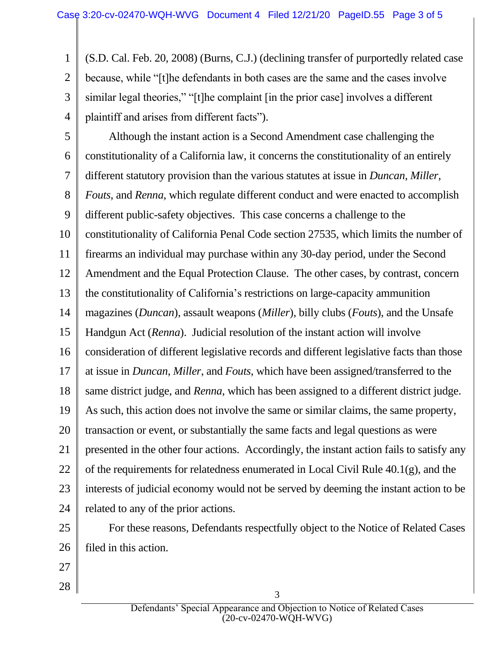1 2 3 4 (S.D. Cal. Feb. 20, 2008) (Burns, C.J.) (declining transfer of purportedly related case because, while "[t]he defendants in both cases are the same and the cases involve similar legal theories," "[t]he complaint [in the prior case] involves a different plaintiff and arises from different facts").

5 6 7 8 9 10 11 12 13 14 15 16 17 18 19 20 21 22 23 24 Although the instant action is a Second Amendment case challenging the constitutionality of a California law, it concerns the constitutionality of an entirely different statutory provision than the various statutes at issue in *Duncan*, *Miller*, *Fouts*, and *Renna*, which regulate different conduct and were enacted to accomplish different public-safety objectives. This case concerns a challenge to the constitutionality of California Penal Code section 27535, which limits the number of firearms an individual may purchase within any 30-day period, under the Second Amendment and the Equal Protection Clause. The other cases, by contrast, concern the constitutionality of California's restrictions on large-capacity ammunition magazines (*Duncan*), assault weapons (*Miller*), billy clubs (*Fouts*), and the Unsafe Handgun Act (*Renna*). Judicial resolution of the instant action will involve consideration of different legislative records and different legislative facts than those at issue in *Duncan*, *Miller*, and *Fouts*, which have been assigned/transferred to the same district judge, and *Renna*, which has been assigned to a different district judge. As such, this action does not involve the same or similar claims, the same property, transaction or event, or substantially the same facts and legal questions as were presented in the other four actions. Accordingly, the instant action fails to satisfy any of the requirements for relatedness enumerated in Local Civil Rule 40.1(g), and the interests of judicial economy would not be served by deeming the instant action to be related to any of the prior actions.

25 26 For these reasons, Defendants respectfully object to the Notice of Related Cases filed in this action.

- 27
- 28

3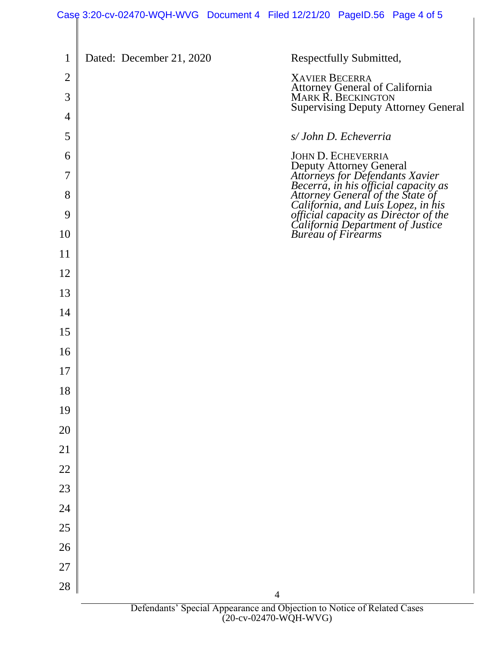## Case 3:20-cv-02470-WQH-WVG Document 4 Filed 12/21/20 PageID.56 Page 4 of 5

| 1              | Dated: December 21, 2020 | Respectfully Submitted,                                                                                                                                                                                                                             |
|----------------|--------------------------|-----------------------------------------------------------------------------------------------------------------------------------------------------------------------------------------------------------------------------------------------------|
| $\overline{2}$ |                          | <b>XAVIER BECERRA</b><br>Attorney General of California<br>MARK R. BECKINGTON                                                                                                                                                                       |
| 3              |                          | <b>Supervising Deputy Attorney General</b>                                                                                                                                                                                                          |
| 4              |                          |                                                                                                                                                                                                                                                     |
| 5              |                          | s/John D. Echeverria                                                                                                                                                                                                                                |
| 6<br>7         |                          | JOHN D. ECHEVERRIA                                                                                                                                                                                                                                  |
| 8              |                          |                                                                                                                                                                                                                                                     |
| 9              |                          | JOHN D. ECHEVERRIA<br>Deputy Attorney General<br>Attorneys for Defendants Xavier<br>Becerra, in his official capacity as<br>Attorney General of the State of<br>California, and Luis Lopez, in his<br>official capacity as Director of the<br>Calif |
| 10             |                          |                                                                                                                                                                                                                                                     |
| 11             |                          |                                                                                                                                                                                                                                                     |
| 12             |                          |                                                                                                                                                                                                                                                     |
| 13             |                          |                                                                                                                                                                                                                                                     |
| 14             |                          |                                                                                                                                                                                                                                                     |
| 15             |                          |                                                                                                                                                                                                                                                     |
| 16             |                          |                                                                                                                                                                                                                                                     |
| 17             |                          |                                                                                                                                                                                                                                                     |
| 18             |                          |                                                                                                                                                                                                                                                     |
| 19             |                          |                                                                                                                                                                                                                                                     |
| 20             |                          |                                                                                                                                                                                                                                                     |
| 21             |                          |                                                                                                                                                                                                                                                     |
| 22             |                          |                                                                                                                                                                                                                                                     |
| 23             |                          |                                                                                                                                                                                                                                                     |
| 24             |                          |                                                                                                                                                                                                                                                     |
| 25             |                          |                                                                                                                                                                                                                                                     |
| 26             |                          |                                                                                                                                                                                                                                                     |
| 27             |                          |                                                                                                                                                                                                                                                     |
| 28             |                          | $\overline{4}$                                                                                                                                                                                                                                      |
|                |                          | Defendants' Special Appearance and Objection to Notice of Related Cases                                                                                                                                                                             |